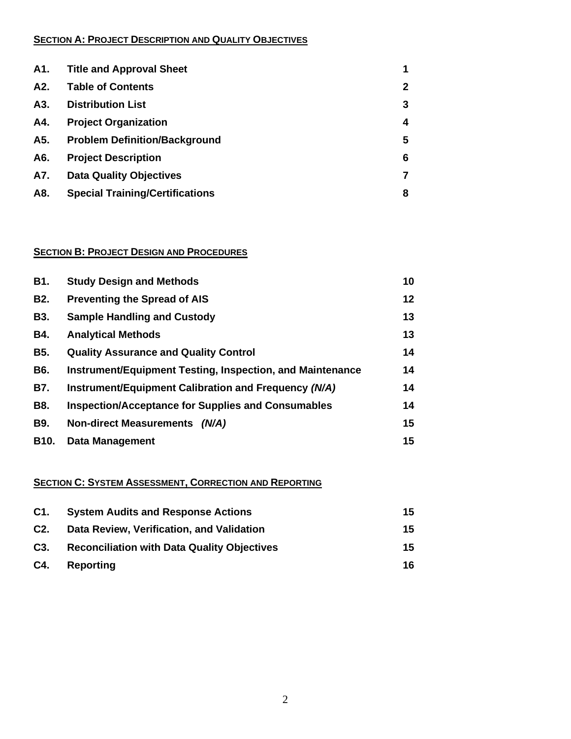#### **SECTION A: PROJECT DESCRIPTION AND QUALITY OBJECTIVES**

| A1. | <b>Title and Approval Sheet</b>        |              |
|-----|----------------------------------------|--------------|
| A2. | <b>Table of Contents</b>               | $\mathbf{2}$ |
| A3. | <b>Distribution List</b>               | 3            |
| A4. | <b>Project Organization</b>            | 4            |
| A5. | <b>Problem Definition/Background</b>   | 5            |
| A6. | <b>Project Description</b>             | 6            |
| A7. | <b>Data Quality Objectives</b>         |              |
| A8. | <b>Special Training/Certifications</b> | 8            |

#### **SECTION B: PROJECT DESIGN AND PROCEDURES**

| <b>B1.</b>        | <b>Study Design and Methods</b>                           | 10 |
|-------------------|-----------------------------------------------------------|----|
| <b>B2.</b>        | <b>Preventing the Spread of AIS</b>                       | 12 |
| <b>B3.</b>        | <b>Sample Handling and Custody</b>                        | 13 |
| <b>B4.</b>        | <b>Analytical Methods</b>                                 | 13 |
| <b>B5.</b>        | <b>Quality Assurance and Quality Control</b>              | 14 |
| <b>B6.</b>        | Instrument/Equipment Testing, Inspection, and Maintenance | 14 |
| <b>B7.</b>        | Instrument/Equipment Calibration and Frequency (N/A)      | 14 |
| <b>B8.</b>        | <b>Inspection/Acceptance for Supplies and Consumables</b> | 14 |
| <b>B9.</b>        | Non-direct Measurements (N/A)                             | 15 |
| B <sub>10</sub> . | <b>Data Management</b>                                    | 15 |

# **SECTION C: SYSTEM ASSESSMENT, CORRECTION AND REPORTING**

| C1.              | <b>System Audits and Response Actions</b>          | 15 |
|------------------|----------------------------------------------------|----|
| C2.              | Data Review, Verification, and Validation          | 15 |
| C <sub>3</sub> . | <b>Reconciliation with Data Quality Objectives</b> | 15 |
| C4.              | Reporting                                          | 16 |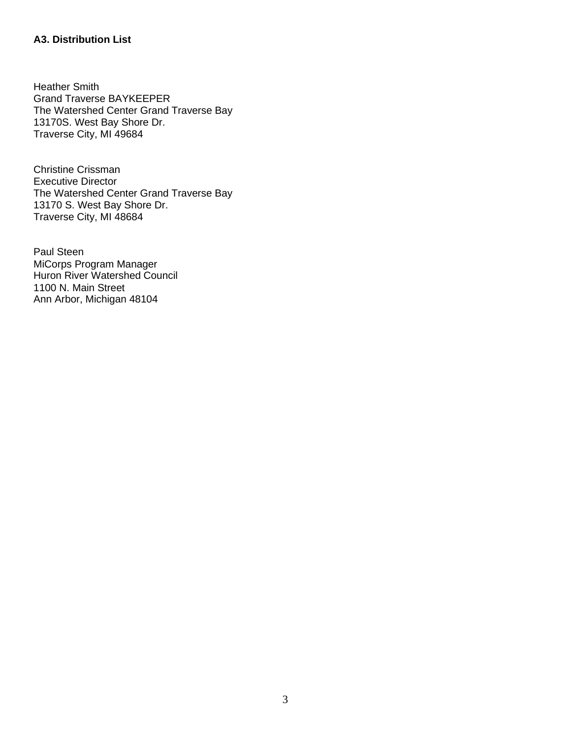### **A3. Distribution List**

Heather Smith Grand Traverse BAYKEEPER The Watershed Center Grand Traverse Bay 13170S. West Bay Shore Dr. Traverse City, MI 49684

Christine Crissman Executive Director The Watershed Center Grand Traverse Bay 13170 S. West Bay Shore Dr. Traverse City, MI 48684

Paul Steen MiCorps Program Manager Huron River Watershed Council 1100 N. Main Street Ann Arbor, Michigan 48104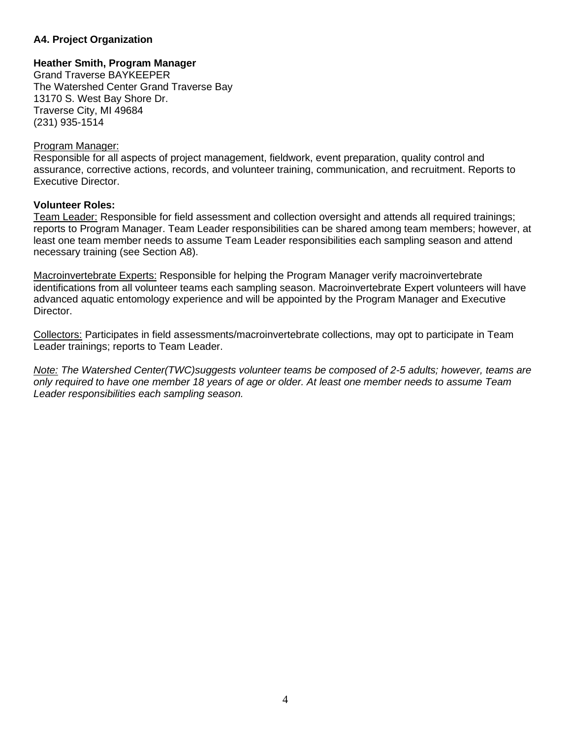#### **A4. Project Organization**

#### **Heather Smith, Program Manager**

Grand Traverse BAYKEEPER The Watershed Center Grand Traverse Bay 13170 S. West Bay Shore Dr. Traverse City, MI 49684 (231) 935-1514

#### Program Manager:

Responsible for all aspects of project management, fieldwork, event preparation, quality control and assurance, corrective actions, records, and volunteer training, communication, and recruitment. Reports to Executive Director.

#### **Volunteer Roles:**

Team Leader: Responsible for field assessment and collection oversight and attends all required trainings; reports to Program Manager. Team Leader responsibilities can be shared among team members; however, at least one team member needs to assume Team Leader responsibilities each sampling season and attend necessary training (see Section A8).

Macroinvertebrate Experts: Responsible for helping the Program Manager verify macroinvertebrate identifications from all volunteer teams each sampling season. Macroinvertebrate Expert volunteers will have advanced aquatic entomology experience and will be appointed by the Program Manager and Executive Director.

Collectors: Participates in field assessments/macroinvertebrate collections, may opt to participate in Team Leader trainings; reports to Team Leader.

*Note: The Watershed Center(TWC)suggests volunteer teams be composed of 2-5 adults; however, teams are only required to have one member 18 years of age or older. At least one member needs to assume Team Leader responsibilities each sampling season.*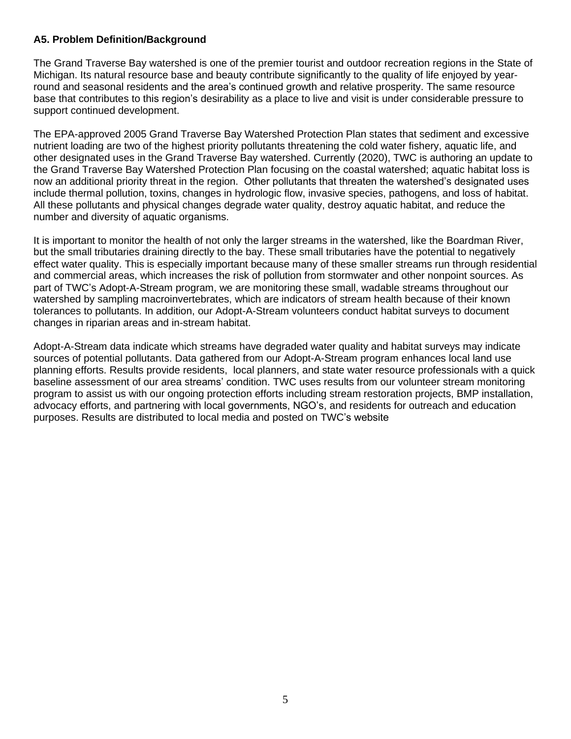#### **A5. Problem Definition/Background**

The Grand Traverse Bay watershed is one of the premier tourist and outdoor recreation regions in the State of Michigan. Its natural resource base and beauty contribute significantly to the quality of life enjoyed by yearround and seasonal residents and the area's continued growth and relative prosperity. The same resource base that contributes to this region's desirability as a place to live and visit is under considerable pressure to support continued development.

The EPA-approved 2005 Grand Traverse Bay Watershed Protection Plan states that sediment and excessive nutrient loading are two of the highest priority pollutants threatening the cold water fishery, aquatic life, and other designated uses in the Grand Traverse Bay watershed. Currently (2020), TWC is authoring an update to the Grand Traverse Bay Watershed Protection Plan focusing on the coastal watershed; aquatic habitat loss is now an additional priority threat in the region. Other pollutants that threaten the watershed's designated uses include thermal pollution, toxins, changes in hydrologic flow, invasive species, pathogens, and loss of habitat. All these pollutants and physical changes degrade water quality, destroy aquatic habitat, and reduce the number and diversity of aquatic organisms.

It is important to monitor the health of not only the larger streams in the watershed, like the Boardman River, but the small tributaries draining directly to the bay. These small tributaries have the potential to negatively effect water quality. This is especially important because many of these smaller streams run through residential and commercial areas, which increases the risk of pollution from stormwater and other nonpoint sources. As part of TWC's Adopt-A-Stream program, we are monitoring these small, wadable streams throughout our watershed by sampling macroinvertebrates, which are indicators of stream health because of their known tolerances to pollutants. In addition, our Adopt-A-Stream volunteers conduct habitat surveys to document changes in riparian areas and in-stream habitat.

Adopt-A-Stream data indicate which streams have degraded water quality and habitat surveys may indicate sources of potential pollutants. Data gathered from our Adopt-A-Stream program enhances local land use planning efforts. Results provide residents, local planners, and state water resource professionals with a quick baseline assessment of our area streams' condition. TWC uses results from our volunteer stream monitoring program to assist us with our ongoing protection efforts including stream restoration projects, BMP installation, advocacy efforts, and partnering with local governments, NGO's, and residents for outreach and education purposes. Results are distributed to local media and posted on TWC's website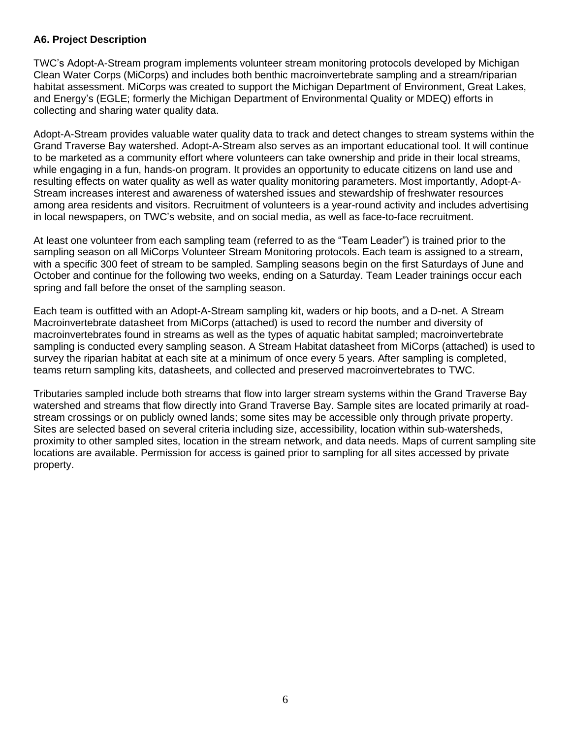#### **A6. Project Description**

TWC's Adopt-A-Stream program implements volunteer stream monitoring protocols developed by Michigan Clean Water Corps (MiCorps) and includes both benthic macroinvertebrate sampling and a stream/riparian habitat assessment. MiCorps was created to support the Michigan Department of Environment, Great Lakes, and Energy's (EGLE; formerly the Michigan Department of Environmental Quality or MDEQ) efforts in collecting and sharing water quality data.

Adopt-A-Stream provides valuable water quality data to track and detect changes to stream systems within the Grand Traverse Bay watershed. Adopt-A-Stream also serves as an important educational tool. It will continue to be marketed as a community effort where volunteers can take ownership and pride in their local streams, while engaging in a fun, hands-on program. It provides an opportunity to educate citizens on land use and resulting effects on water quality as well as water quality monitoring parameters. Most importantly, Adopt-A-Stream increases interest and awareness of watershed issues and stewardship of freshwater resources among area residents and visitors. Recruitment of volunteers is a year-round activity and includes advertising in local newspapers, on TWC's website, and on social media, as well as face-to-face recruitment.

At least one volunteer from each sampling team (referred to as the "Team Leader") is trained prior to the sampling season on all MiCorps Volunteer Stream Monitoring protocols. Each team is assigned to a stream, with a specific 300 feet of stream to be sampled. Sampling seasons begin on the first Saturdays of June and October and continue for the following two weeks, ending on a Saturday. Team Leader trainings occur each spring and fall before the onset of the sampling season.

Each team is outfitted with an Adopt-A-Stream sampling kit, waders or hip boots, and a D-net. A Stream Macroinvertebrate datasheet from MiCorps (attached) is used to record the number and diversity of macroinvertebrates found in streams as well as the types of aquatic habitat sampled; macroinvertebrate sampling is conducted every sampling season. A Stream Habitat datasheet from MiCorps (attached) is used to survey the riparian habitat at each site at a minimum of once every 5 years. After sampling is completed, teams return sampling kits, datasheets, and collected and preserved macroinvertebrates to TWC.

Tributaries sampled include both streams that flow into larger stream systems within the Grand Traverse Bay watershed and streams that flow directly into Grand Traverse Bay. Sample sites are located primarily at roadstream crossings or on publicly owned lands; some sites may be accessible only through private property. Sites are selected based on several criteria including size, accessibility, location within sub-watersheds, proximity to other sampled sites, location in the stream network, and data needs. Maps of current sampling site locations are available. Permission for access is gained prior to sampling for all sites accessed by private property.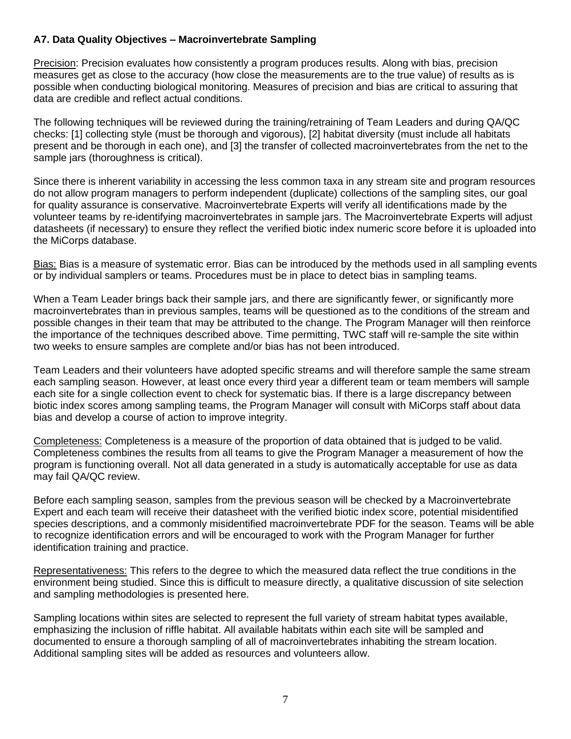### **A7. Data Quality Objectives – Macroinvertebrate Sampling**

Precision: Precision evaluates how consistently a program produces results. Along with bias, precision measures get as close to the accuracy (how close the measurements are to the true value) of results as is possible when conducting biological monitoring. Measures of precision and bias are critical to assuring that data are credible and reflect actual conditions.

The following techniques will be reviewed during the training/retraining of Team Leaders and during QA/QC checks: [1] collecting style (must be thorough and vigorous), [2] habitat diversity (must include all habitats present and be thorough in each one), and [3] the transfer of collected macroinvertebrates from the net to the sample jars (thoroughness is critical).

Since there is inherent variability in accessing the less common taxa in any stream site and program resources do not allow program managers to perform independent (duplicate) collections of the sampling sites, our goal for quality assurance is conservative. Macroinvertebrate Experts will verify all identifications made by the volunteer teams by re-identifying macroinvertebrates in sample jars. The Macroinvertebrate Experts will adjust datasheets (if necessary) to ensure they reflect the verified biotic index numeric score before it is uploaded into the MiCorps database.

Bias: Bias is a measure of systematic error. Bias can be introduced by the methods used in all sampling events or by individual samplers or teams. Procedures must be in place to detect bias in sampling teams.

When a Team Leader brings back their sample jars, and there are significantly fewer, or significantly more macroinvertebrates than in previous samples, teams will be questioned as to the conditions of the stream and possible changes in their team that may be attributed to the change. The Program Manager will then reinforce the importance of the techniques described above. Time permitting, TWC staff will re-sample the site within two weeks to ensure samples are complete and/or bias has not been introduced.

Team Leaders and their volunteers have adopted specific streams and will therefore sample the same stream each sampling season. However, at least once every third year a different team or team members will sample each site for a single collection event to check for systematic bias. If there is a large discrepancy between biotic index scores among sampling teams, the Program Manager will consult with MiCorps staff about data bias and develop a course of action to improve integrity.

Completeness: Completeness is a measure of the proportion of data obtained that is judged to be valid. Completeness combines the results from all teams to give the Program Manager a measurement of how the program is functioning overall. Not all data generated in a study is automatically acceptable for use as data may fail QA/QC review.

Before each sampling season, samples from the previous season will be checked by a Macroinvertebrate Expert and each team will receive their datasheet with the verified biotic index score, potential misidentified species descriptions, and a commonly misidentified macroinvertebrate PDF for the season. Teams will be able to recognize identification errors and will be encouraged to work with the Program Manager for further identification training and practice.

Representativeness: This refers to the degree to which the measured data reflect the true conditions in the environment being studied. Since this is difficult to measure directly, a qualitative discussion of site selection and sampling methodologies is presented here.

Sampling locations within sites are selected to represent the full variety of stream habitat types available, emphasizing the inclusion of riffle habitat. All available habitats within each site will be sampled and documented to ensure a thorough sampling of all of macroinvertebrates inhabiting the stream location. Additional sampling sites will be added as resources and volunteers allow.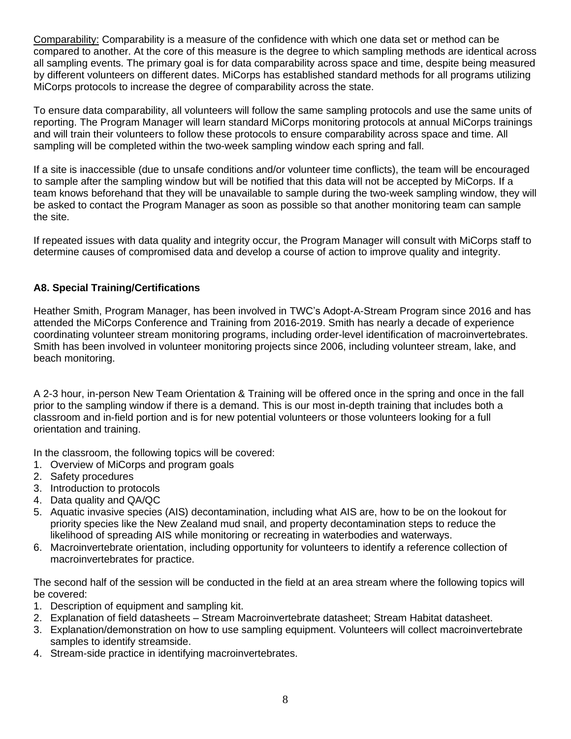Comparability: Comparability is a measure of the confidence with which one data set or method can be compared to another. At the core of this measure is the degree to which sampling methods are identical across all sampling events. The primary goal is for data comparability across space and time, despite being measured by different volunteers on different dates. MiCorps has established standard methods for all programs utilizing MiCorps protocols to increase the degree of comparability across the state.

To ensure data comparability, all volunteers will follow the same sampling protocols and use the same units of reporting. The Program Manager will learn standard MiCorps monitoring protocols at annual MiCorps trainings and will train their volunteers to follow these protocols to ensure comparability across space and time. All sampling will be completed within the two-week sampling window each spring and fall.

If a site is inaccessible (due to unsafe conditions and/or volunteer time conflicts), the team will be encouraged to sample after the sampling window but will be notified that this data will not be accepted by MiCorps. If a team knows beforehand that they will be unavailable to sample during the two-week sampling window, they will be asked to contact the Program Manager as soon as possible so that another monitoring team can sample the site.

If repeated issues with data quality and integrity occur, the Program Manager will consult with MiCorps staff to determine causes of compromised data and develop a course of action to improve quality and integrity.

# **A8. Special Training/Certifications**

Heather Smith, Program Manager, has been involved in TWC's Adopt-A-Stream Program since 2016 and has attended the MiCorps Conference and Training from 2016-2019. Smith has nearly a decade of experience coordinating volunteer stream monitoring programs, including order-level identification of macroinvertebrates. Smith has been involved in volunteer monitoring projects since 2006, including volunteer stream, lake, and beach monitoring.

A 2-3 hour, in-person New Team Orientation & Training will be offered once in the spring and once in the fall prior to the sampling window if there is a demand. This is our most in-depth training that includes both a classroom and in-field portion and is for new potential volunteers or those volunteers looking for a full orientation and training.

In the classroom, the following topics will be covered:

- 1. Overview of MiCorps and program goals
- 2. Safety procedures
- 3. Introduction to protocols
- 4. Data quality and QA/QC
- 5. Aquatic invasive species (AIS) decontamination, including what AIS are, how to be on the lookout for priority species like the New Zealand mud snail, and property decontamination steps to reduce the likelihood of spreading AIS while monitoring or recreating in waterbodies and waterways.
- 6. Macroinvertebrate orientation, including opportunity for volunteers to identify a reference collection of macroinvertebrates for practice.

The second half of the session will be conducted in the field at an area stream where the following topics will be covered:

- 1. Description of equipment and sampling kit.
- 2. Explanation of field datasheets Stream Macroinvertebrate datasheet; Stream Habitat datasheet.
- 3. Explanation/demonstration on how to use sampling equipment. Volunteers will collect macroinvertebrate samples to identify streamside.
- 4. Stream-side practice in identifying macroinvertebrates.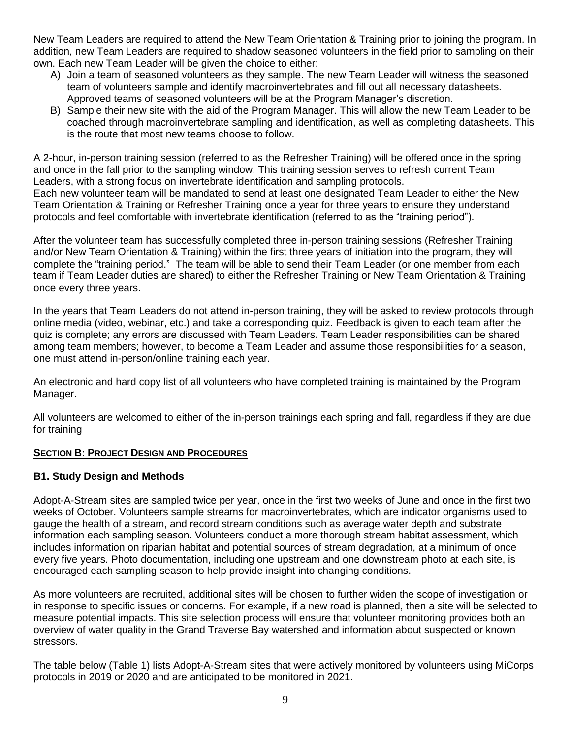New Team Leaders are required to attend the New Team Orientation & Training prior to joining the program. In addition, new Team Leaders are required to shadow seasoned volunteers in the field prior to sampling on their own. Each new Team Leader will be given the choice to either:

- A) Join a team of seasoned volunteers as they sample. The new Team Leader will witness the seasoned team of volunteers sample and identify macroinvertebrates and fill out all necessary datasheets. Approved teams of seasoned volunteers will be at the Program Manager's discretion.
- B) Sample their new site with the aid of the Program Manager. This will allow the new Team Leader to be coached through macroinvertebrate sampling and identification, as well as completing datasheets. This is the route that most new teams choose to follow.

A 2-hour, in-person training session (referred to as the Refresher Training) will be offered once in the spring and once in the fall prior to the sampling window. This training session serves to refresh current Team Leaders, with a strong focus on invertebrate identification and sampling protocols.

Each new volunteer team will be mandated to send at least one designated Team Leader to either the New Team Orientation & Training or Refresher Training once a year for three years to ensure they understand protocols and feel comfortable with invertebrate identification (referred to as the "training period").

After the volunteer team has successfully completed three in-person training sessions (Refresher Training and/or New Team Orientation & Training) within the first three years of initiation into the program, they will complete the "training period." The team will be able to send their Team Leader (or one member from each team if Team Leader duties are shared) to either the Refresher Training or New Team Orientation & Training once every three years.

In the years that Team Leaders do not attend in-person training, they will be asked to review protocols through online media (video, webinar, etc.) and take a corresponding quiz. Feedback is given to each team after the quiz is complete; any errors are discussed with Team Leaders. Team Leader responsibilities can be shared among team members; however, to become a Team Leader and assume those responsibilities for a season, one must attend in-person/online training each year.

An electronic and hard copy list of all volunteers who have completed training is maintained by the Program Manager.

All volunteers are welcomed to either of the in-person trainings each spring and fall, regardless if they are due for training

#### **SECTION B: PROJECT DESIGN AND PROCEDURES**

#### **B1. Study Design and Methods**

Adopt-A-Stream sites are sampled twice per year, once in the first two weeks of June and once in the first two weeks of October. Volunteers sample streams for macroinvertebrates, which are indicator organisms used to gauge the health of a stream, and record stream conditions such as average water depth and substrate information each sampling season. Volunteers conduct a more thorough stream habitat assessment, which includes information on riparian habitat and potential sources of stream degradation, at a minimum of once every five years. Photo documentation, including one upstream and one downstream photo at each site, is encouraged each sampling season to help provide insight into changing conditions.

As more volunteers are recruited, additional sites will be chosen to further widen the scope of investigation or in response to specific issues or concerns. For example, if a new road is planned, then a site will be selected to measure potential impacts. This site selection process will ensure that volunteer monitoring provides both an overview of water quality in the Grand Traverse Bay watershed and information about suspected or known stressors.

The table below (Table 1) lists Adopt-A-Stream sites that were actively monitored by volunteers using MiCorps protocols in 2019 or 2020 and are anticipated to be monitored in 2021.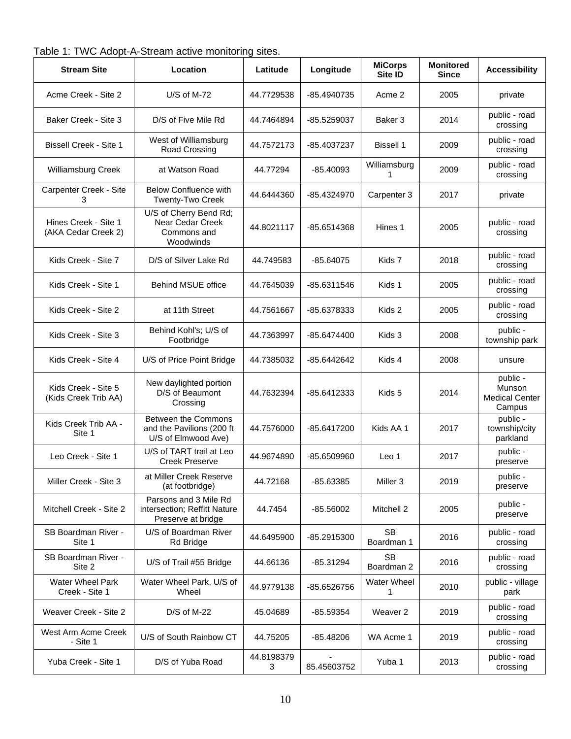| Table 1: TWC Adopt-A-Stream active monitoring sites. |  |
|------------------------------------------------------|--|
|------------------------------------------------------|--|

| <b>Stream Site</b>                          | Location                                                                    | Latitude        | Longitude   | <b>MiCorps</b><br>Site ID | <b>Monitored</b><br><b>Since</b> | <b>Accessibility</b>                                  |
|---------------------------------------------|-----------------------------------------------------------------------------|-----------------|-------------|---------------------------|----------------------------------|-------------------------------------------------------|
| Acme Creek - Site 2                         | $U/S$ of M-72                                                               | 44.7729538      | -85.4940735 | Acme 2                    | 2005                             | private                                               |
| Baker Creek - Site 3                        | D/S of Five Mile Rd                                                         | 44.7464894      | -85.5259037 | Baker 3                   | 2014                             | public - road<br>crossing                             |
| <b>Bissell Creek - Site 1</b>               | West of Williamsburg<br>Road Crossing                                       | 44.7572173      | -85.4037237 | <b>Bissell 1</b>          | 2009                             | public - road<br>crossing                             |
| Williamsburg Creek                          | at Watson Road                                                              | 44.77294        | $-85.40093$ | Williamsburg<br>1         | 2009                             | public - road<br>crossing                             |
| Carpenter Creek - Site<br>3                 | <b>Below Confluence with</b><br>Twenty-Two Creek                            | 44.6444360      | -85.4324970 | Carpenter 3               | 2017                             | private                                               |
| Hines Creek - Site 1<br>(AKA Cedar Creek 2) | U/S of Cherry Bend Rd;<br>Near Cedar Creek<br>Commons and<br>Woodwinds      | 44.8021117      | -85.6514368 | Hines 1                   | 2005                             | public - road<br>crossing                             |
| Kids Creek - Site 7                         | D/S of Silver Lake Rd                                                       | 44.749583       | -85.64075   | Kids 7                    | 2018                             | public - road<br>crossing                             |
| Kids Creek - Site 1                         | <b>Behind MSUE office</b>                                                   | 44.7645039      | -85.6311546 | Kids 1                    | 2005                             | public - road<br>crossing                             |
| Kids Creek - Site 2                         | at 11th Street                                                              | 44.7561667      | -85.6378333 | Kids 2                    | 2005                             | public - road<br>crossing                             |
| Kids Creek - Site 3                         | Behind Kohl's; U/S of<br>Footbridge                                         | 44.7363997      | -85.6474400 | Kids 3                    | 2008                             | public -<br>township park                             |
| Kids Creek - Site 4                         | U/S of Price Point Bridge                                                   | 44.7385032      | -85.6442642 | Kids 4                    | 2008                             | unsure                                                |
| Kids Creek - Site 5<br>(Kids Creek Trib AA) | New daylighted portion<br>D/S of Beaumont<br>Crossing                       | 44.7632394      | -85.6412333 | Kids 5                    | 2014                             | public -<br>Munson<br><b>Medical Center</b><br>Campus |
| Kids Creek Trib AA -<br>Site 1              | Between the Commons<br>and the Pavilions (200 ft<br>U/S of Elmwood Ave)     | 44.7576000      | -85.6417200 | Kids AA 1                 | 2017                             | public -<br>township/city<br>parkland                 |
| Leo Creek - Site 1                          | U/S of TART trail at Leo<br><b>Creek Preserve</b>                           | 44.9674890      | -85.6509960 | Leo 1                     | 2017                             | public -<br>preserve                                  |
| Miller Creek - Site 3                       | at Miller Creek Reserve<br>(at footbridge)                                  | 44.72168        | -85.63385   | Miller <sub>3</sub>       | 2019                             | public -<br>preserve                                  |
| Mitchell Creek - Site 2                     | Parsons and 3 Mile Rd<br>intersection; Reffitt Nature<br>Preserve at bridge | 44.7454         | $-85.56002$ | Mitchell 2                | 2005                             | public -<br>preserve                                  |
| SB Boardman River -<br>Site 1               | U/S of Boardman River<br>Rd Bridge                                          | 44.6495900      | -85.2915300 | <b>SB</b><br>Boardman 1   | 2016                             | public - road<br>crossing                             |
| SB Boardman River -<br>Site 2               | U/S of Trail #55 Bridge                                                     | 44.66136        | -85.31294   | <b>SB</b><br>Boardman 2   | 2016                             | public - road<br>crossing                             |
| Water Wheel Park<br>Creek - Site 1          | Water Wheel Park, U/S of<br>Wheel                                           | 44.9779138      | -85.6526756 | <b>Water Wheel</b><br>1   | 2010                             | public - village<br>park                              |
| Weaver Creek - Site 2                       | D/S of M-22                                                                 | 45.04689        | -85.59354   | Weaver <sub>2</sub>       | 2019                             | public - road<br>crossing                             |
| West Arm Acme Creek<br>- Site 1             | U/S of South Rainbow CT                                                     | 44.75205        | -85.48206   | WA Acme 1                 | 2019                             | public - road<br>crossing                             |
| Yuba Creek - Site 1                         | D/S of Yuba Road                                                            | 44.8198379<br>3 | 85.45603752 | Yuba 1                    | 2013                             | public - road<br>crossing                             |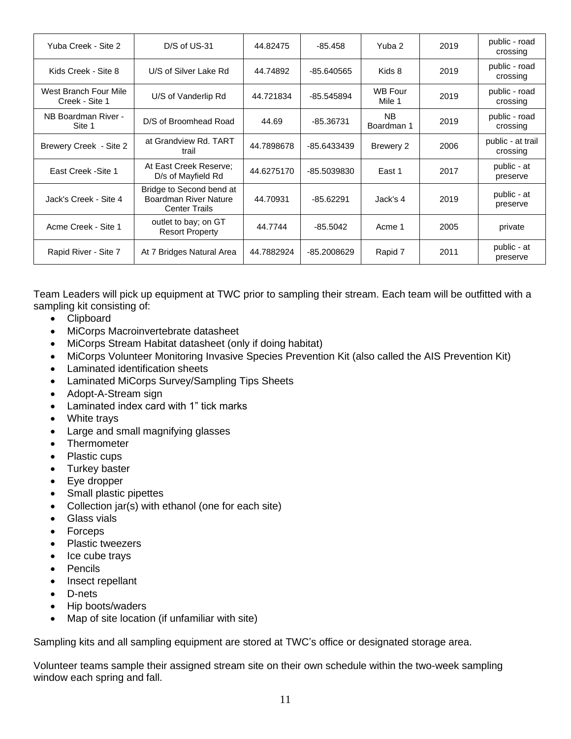| Yuba Creek - Site 2                     | D/S of US-31                                                                     | 44.82475   | -85.458     | Yuba 2                   | 2019 | public - road<br>crossing     |
|-----------------------------------------|----------------------------------------------------------------------------------|------------|-------------|--------------------------|------|-------------------------------|
| Kids Creek - Site 8                     | U/S of Silver Lake Rd                                                            | 44.74892   | -85.640565  | Kids 8                   | 2019 | public - road<br>crossing     |
| West Branch Four Mile<br>Creek - Site 1 | U/S of Vanderlip Rd                                                              | 44.721834  | -85.545894  | <b>WB Four</b><br>Mile 1 | 2019 | public - road<br>crossing     |
| NB Boardman River -<br>Site 1           | D/S of Broomhead Road                                                            | 44.69      | -85.36731   | NB.<br>Boardman 1        | 2019 | public - road<br>crossing     |
| Brewery Creek - Site 2                  | at Grandview Rd. TART<br>trail                                                   | 44.7898678 | -85.6433439 | Brewery 2                | 2006 | public - at trail<br>crossing |
| East Creek - Site 1                     | At East Creek Reserve:<br>D/s of Mayfield Rd                                     | 44.6275170 | -85.5039830 | East 1                   | 2017 | public - at<br>preserve       |
| Jack's Creek - Site 4                   | Bridge to Second bend at<br><b>Boardman River Nature</b><br><b>Center Trails</b> | 44.70931   | $-85.62291$ | Jack's 4                 | 2019 | public - at<br>preserve       |
| Acme Creek - Site 1                     | outlet to bay; on GT<br><b>Resort Property</b>                                   | 44.7744    | $-85.5042$  | Acme 1                   | 2005 | private                       |
| Rapid River - Site 7                    | At 7 Bridges Natural Area                                                        | 44.7882924 | -85.2008629 | Rapid 7                  | 2011 | public - at<br>preserve       |

Team Leaders will pick up equipment at TWC prior to sampling their stream. Each team will be outfitted with a sampling kit consisting of:

- Clipboard
- MiCorps Macroinvertebrate datasheet
- MiCorps Stream Habitat datasheet (only if doing habitat)
- MiCorps Volunteer Monitoring Invasive Species Prevention Kit (also called the AIS Prevention Kit)
- Laminated identification sheets
- Laminated MiCorps Survey/Sampling Tips Sheets
- Adopt-A-Stream sign
- Laminated index card with 1" tick marks
- White travs
- Large and small magnifying glasses
- Thermometer
- Plastic cups
- Turkey baster
- Eye dropper
- Small plastic pipettes
- Collection jar(s) with ethanol (one for each site)
- Glass vials
- Forceps
- Plastic tweezers
- Ice cube trays
- Pencils
- Insect repellant
- D-nets
- Hip boots/waders
- Map of site location (if unfamiliar with site)

Sampling kits and all sampling equipment are stored at TWC's office or designated storage area.

Volunteer teams sample their assigned stream site on their own schedule within the two-week sampling window each spring and fall.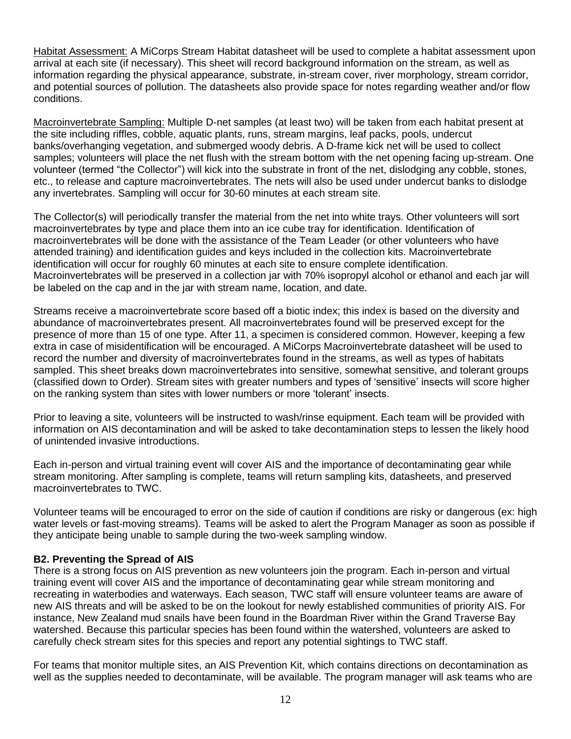Habitat Assessment: A MiCorps Stream Habitat datasheet will be used to complete a habitat assessment upon arrival at each site (if necessary). This sheet will record background information on the stream, as well as information regarding the physical appearance, substrate, in-stream cover, river morphology, stream corridor, and potential sources of pollution. The datasheets also provide space for notes regarding weather and/or flow conditions.

Macroinvertebrate Sampling: Multiple D-net samples (at least two) will be taken from each habitat present at the site including riffles, cobble, aquatic plants, runs, stream margins, leaf packs, pools, undercut banks/overhanging vegetation, and submerged woody debris. A D-frame kick net will be used to collect samples; volunteers will place the net flush with the stream bottom with the net opening facing up-stream. One volunteer (termed "the Collector") will kick into the substrate in front of the net, dislodging any cobble, stones, etc., to release and capture macroinvertebrates. The nets will also be used under undercut banks to dislodge any invertebrates. Sampling will occur for 30-60 minutes at each stream site.

The Collector(s) will periodically transfer the material from the net into white trays. Other volunteers will sort macroinvertebrates by type and place them into an ice cube tray for identification. Identification of macroinvertebrates will be done with the assistance of the Team Leader (or other volunteers who have attended training) and identification guides and keys included in the collection kits. Macroinvertebrate identification will occur for roughly 60 minutes at each site to ensure complete identification. Macroinvertebrates will be preserved in a collection jar with 70% isopropyl alcohol or ethanol and each jar will be labeled on the cap and in the jar with stream name, location, and date.

Streams receive a macroinvertebrate score based off a biotic index; this index is based on the diversity and abundance of macroinvertebrates present. All macroinvertebrates found will be preserved except for the presence of more than 15 of one type. After 11, a specimen is considered common. However, keeping a few extra in case of misidentification will be encouraged. A MiCorps Macroinvertebrate datasheet will be used to record the number and diversity of macroinvertebrates found in the streams, as well as types of habitats sampled. This sheet breaks down macroinvertebrates into sensitive, somewhat sensitive, and tolerant groups (classified down to Order). Stream sites with greater numbers and types of 'sensitive' insects will score higher on the ranking system than sites with lower numbers or more 'tolerant' insects.

Prior to leaving a site, volunteers will be instructed to wash/rinse equipment. Each team will be provided with information on AIS decontamination and will be asked to take decontamination steps to lessen the likely hood of unintended invasive introductions.

Each in-person and virtual training event will cover AIS and the importance of decontaminating gear while stream monitoring. After sampling is complete, teams will return sampling kits, datasheets, and preserved macroinvertebrates to TWC.

Volunteer teams will be encouraged to error on the side of caution if conditions are risky or dangerous (ex: high water levels or fast-moving streams). Teams will be asked to alert the Program Manager as soon as possible if they anticipate being unable to sample during the two-week sampling window.

#### **B2. Preventing the Spread of AIS**

There is a strong focus on AIS prevention as new volunteers join the program. Each in-person and virtual training event will cover AIS and the importance of decontaminating gear while stream monitoring and recreating in waterbodies and waterways. Each season, TWC staff will ensure volunteer teams are aware of new AIS threats and will be asked to be on the lookout for newly established communities of priority AIS. For instance, New Zealand mud snails have been found in the Boardman River within the Grand Traverse Bay watershed. Because this particular species has been found within the watershed, volunteers are asked to carefully check stream sites for this species and report any potential sightings to TWC staff.

For teams that monitor multiple sites, an AIS Prevention Kit, which contains directions on decontamination as well as the supplies needed to decontaminate, will be available. The program manager will ask teams who are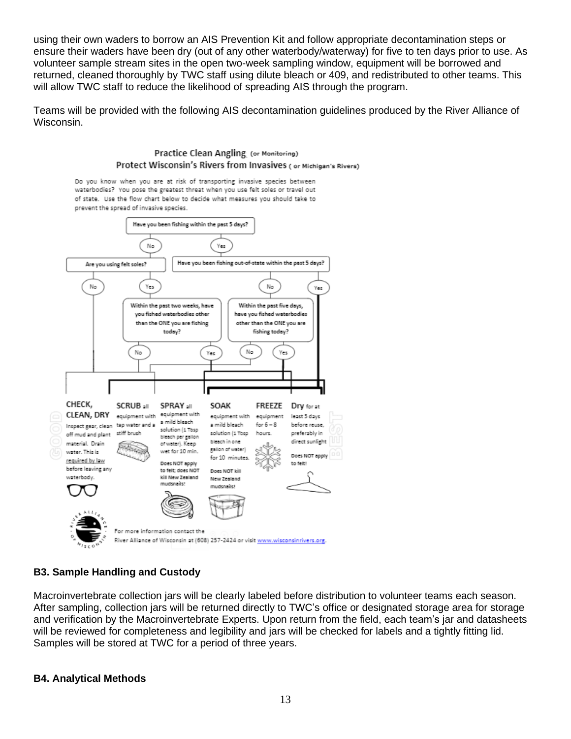using their own waders to borrow an AIS Prevention Kit and follow appropriate decontamination steps or ensure their waders have been dry (out of any other waterbody/waterway) for five to ten days prior to use. As volunteer sample stream sites in the open two-week sampling window, equipment will be borrowed and returned, cleaned thoroughly by TWC staff using dilute bleach or 409, and redistributed to other teams. This will allow TWC staff to reduce the likelihood of spreading AIS through the program.

Teams will be provided with the following AIS decontamination guidelines produced by the River Alliance of Wisconsin.



# **B3. Sample Handling and Custody**

Macroinvertebrate collection jars will be clearly labeled before distribution to volunteer teams each season. After sampling, collection jars will be returned directly to TWC's office or designated storage area for storage and verification by the Macroinvertebrate Experts. Upon return from the field, each team's jar and datasheets will be reviewed for completeness and legibility and jars will be checked for labels and a tightly fitting lid. Samples will be stored at TWC for a period of three years.

#### **B4. Analytical Methods**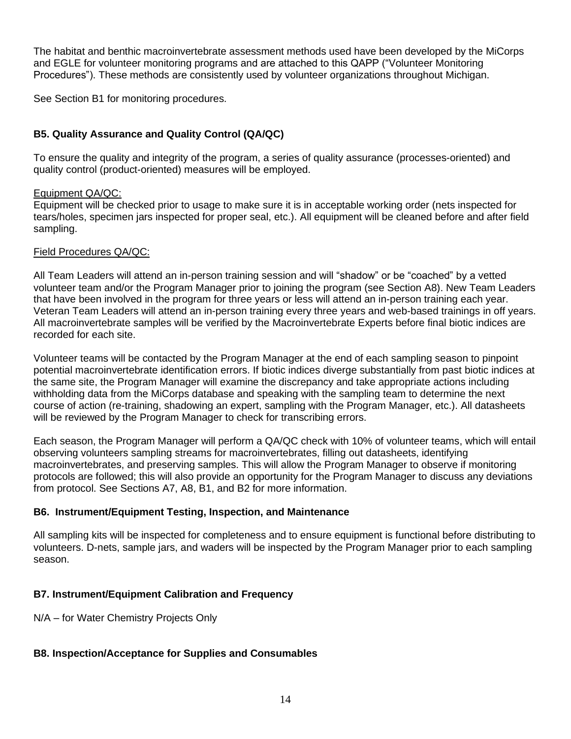The habitat and benthic macroinvertebrate assessment methods used have been developed by the MiCorps and EGLE for volunteer monitoring programs and are attached to this QAPP ("Volunteer Monitoring Procedures"). These methods are consistently used by volunteer organizations throughout Michigan.

See Section B1 for monitoring procedures.

# **B5. Quality Assurance and Quality Control (QA/QC)**

To ensure the quality and integrity of the program, a series of quality assurance (processes-oriented) and quality control (product-oriented) measures will be employed.

#### Equipment QA/QC:

Equipment will be checked prior to usage to make sure it is in acceptable working order (nets inspected for tears/holes, specimen jars inspected for proper seal, etc.). All equipment will be cleaned before and after field sampling.

#### Field Procedures QA/QC:

All Team Leaders will attend an in-person training session and will "shadow" or be "coached" by a vetted volunteer team and/or the Program Manager prior to joining the program (see Section A8). New Team Leaders that have been involved in the program for three years or less will attend an in-person training each year. Veteran Team Leaders will attend an in-person training every three years and web-based trainings in off years. All macroinvertebrate samples will be verified by the Macroinvertebrate Experts before final biotic indices are recorded for each site.

Volunteer teams will be contacted by the Program Manager at the end of each sampling season to pinpoint potential macroinvertebrate identification errors. If biotic indices diverge substantially from past biotic indices at the same site, the Program Manager will examine the discrepancy and take appropriate actions including withholding data from the MiCorps database and speaking with the sampling team to determine the next course of action (re-training, shadowing an expert, sampling with the Program Manager, etc.). All datasheets will be reviewed by the Program Manager to check for transcribing errors.

Each season, the Program Manager will perform a QA/QC check with 10% of volunteer teams, which will entail observing volunteers sampling streams for macroinvertebrates, filling out datasheets, identifying macroinvertebrates, and preserving samples. This will allow the Program Manager to observe if monitoring protocols are followed; this will also provide an opportunity for the Program Manager to discuss any deviations from protocol. See Sections A7, A8, B1, and B2 for more information.

#### **B6. Instrument/Equipment Testing, Inspection, and Maintenance**

All sampling kits will be inspected for completeness and to ensure equipment is functional before distributing to volunteers. D-nets, sample jars, and waders will be inspected by the Program Manager prior to each sampling season.

# **B7. Instrument/Equipment Calibration and Frequency**

N/A – for Water Chemistry Projects Only

#### **B8. Inspection/Acceptance for Supplies and Consumables**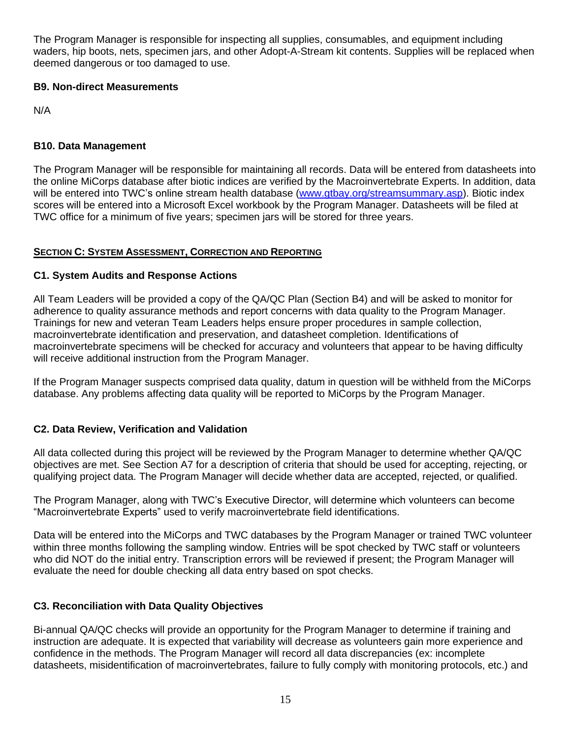The Program Manager is responsible for inspecting all supplies, consumables, and equipment including waders, hip boots, nets, specimen jars, and other Adopt-A-Stream kit contents. Supplies will be replaced when deemed dangerous or too damaged to use.

### **B9. Non-direct Measurements**

N/A

## **B10. Data Management**

The Program Manager will be responsible for maintaining all records. Data will be entered from datasheets into the online MiCorps database after biotic indices are verified by the Macroinvertebrate Experts. In addition, data will be entered into TWC's online stream health database [\(www.gtbay.org/streamsummary.asp\)](http://www.gtbay.org/streamsummary.asp). Biotic index scores will be entered into a Microsoft Excel workbook by the Program Manager. Datasheets will be filed at TWC office for a minimum of five years; specimen jars will be stored for three years.

#### **SECTION C: SYSTEM ASSESSMENT, CORRECTION AND REPORTING**

### **C1. System Audits and Response Actions**

All Team Leaders will be provided a copy of the QA/QC Plan (Section B4) and will be asked to monitor for adherence to quality assurance methods and report concerns with data quality to the Program Manager. Trainings for new and veteran Team Leaders helps ensure proper procedures in sample collection, macroinvertebrate identification and preservation, and datasheet completion. Identifications of macroinvertebrate specimens will be checked for accuracy and volunteers that appear to be having difficulty will receive additional instruction from the Program Manager.

If the Program Manager suspects comprised data quality, datum in question will be withheld from the MiCorps database. Any problems affecting data quality will be reported to MiCorps by the Program Manager.

# **C2. Data Review, Verification and Validation**

All data collected during this project will be reviewed by the Program Manager to determine whether QA/QC objectives are met. See Section A7 for a description of criteria that should be used for accepting, rejecting, or qualifying project data. The Program Manager will decide whether data are accepted, rejected, or qualified.

The Program Manager, along with TWC's Executive Director, will determine which volunteers can become "Macroinvertebrate Experts" used to verify macroinvertebrate field identifications.

Data will be entered into the MiCorps and TWC databases by the Program Manager or trained TWC volunteer within three months following the sampling window. Entries will be spot checked by TWC staff or volunteers who did NOT do the initial entry. Transcription errors will be reviewed if present; the Program Manager will evaluate the need for double checking all data entry based on spot checks.

# **C3. Reconciliation with Data Quality Objectives**

Bi-annual QA/QC checks will provide an opportunity for the Program Manager to determine if training and instruction are adequate. It is expected that variability will decrease as volunteers gain more experience and confidence in the methods. The Program Manager will record all data discrepancies (ex: incomplete datasheets, misidentification of macroinvertebrates, failure to fully comply with monitoring protocols, etc.) and